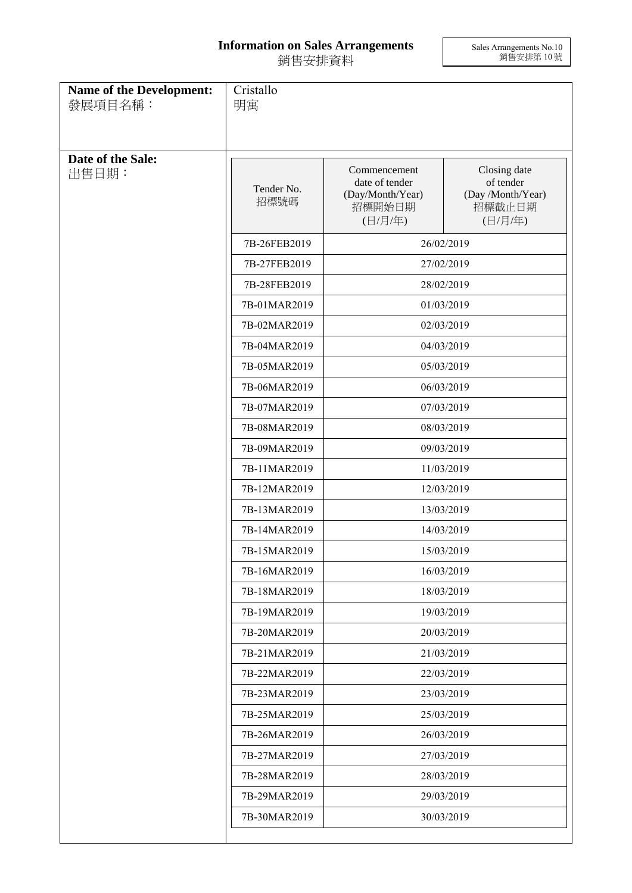## **Information on Sales Arrangements** 銷售安排資料

Sales Arrangements No.10 銷售安排第 10 號

| Name of the Development:<br>發展項目名稱: | Cristallo<br>明寓    |                                                                                                                                          |                                                                     |
|-------------------------------------|--------------------|------------------------------------------------------------------------------------------------------------------------------------------|---------------------------------------------------------------------|
| Date of the Sale:<br>出售日期:          | Tender No.<br>招標號碼 | Commencement<br>date of tender<br>(Day/Month/Year)<br>招標開始日期<br>(日/月/年)                                                                  | Closing date<br>of tender<br>(Day /Month/Year)<br>招標截止日期<br>(日/月/年) |
|                                     | 7B-26FEB2019       |                                                                                                                                          | 26/02/2019                                                          |
|                                     | 7B-27FEB2019       |                                                                                                                                          | 27/02/2019                                                          |
|                                     | 7B-28FEB2019       |                                                                                                                                          | 28/02/2019                                                          |
|                                     | 7B-01MAR2019       |                                                                                                                                          | 01/03/2019                                                          |
|                                     | 7B-02MAR2019       |                                                                                                                                          | 02/03/2019                                                          |
|                                     | 7B-04MAR2019       |                                                                                                                                          | 04/03/2019                                                          |
|                                     | 7B-05MAR2019       | 05/03/2019                                                                                                                               |                                                                     |
|                                     | 7B-06MAR2019       | 06/03/2019                                                                                                                               |                                                                     |
|                                     | 7B-07MAR2019       | 07/03/2019<br>08/03/2019<br>09/03/2019<br>11/03/2019<br>12/03/2019<br>13/03/2019<br>14/03/2019<br>15/03/2019<br>16/03/2019<br>18/03/2019 |                                                                     |
|                                     | 7B-08MAR2019       |                                                                                                                                          |                                                                     |
|                                     | 7B-09MAR2019       |                                                                                                                                          |                                                                     |
|                                     | 7B-11MAR2019       |                                                                                                                                          |                                                                     |
|                                     | 7B-12MAR2019       |                                                                                                                                          |                                                                     |
|                                     | 7B-13MAR2019       |                                                                                                                                          |                                                                     |
|                                     | 7B-14MAR2019       |                                                                                                                                          |                                                                     |
|                                     | 7B-15MAR2019       |                                                                                                                                          |                                                                     |
|                                     | 7B-16MAR2019       |                                                                                                                                          |                                                                     |
|                                     | 7B-18MAR2019       |                                                                                                                                          |                                                                     |
|                                     | 7B-19MAR2019       |                                                                                                                                          | 19/03/2019                                                          |
|                                     | 7B-20MAR2019       |                                                                                                                                          | 20/03/2019                                                          |
|                                     | 7B-21MAR2019       |                                                                                                                                          | 21/03/2019                                                          |
|                                     | 7B-22MAR2019       |                                                                                                                                          | 22/03/2019                                                          |
|                                     | 7B-23MAR2019       |                                                                                                                                          | 23/03/2019                                                          |
|                                     | 7B-25MAR2019       |                                                                                                                                          | 25/03/2019                                                          |
|                                     | 7B-26MAR2019       |                                                                                                                                          | 26/03/2019                                                          |
|                                     | 7B-27MAR2019       |                                                                                                                                          | 27/03/2019                                                          |
|                                     | 7B-28MAR2019       |                                                                                                                                          | 28/03/2019                                                          |
|                                     | 7B-29MAR2019       |                                                                                                                                          | 29/03/2019                                                          |
|                                     | 7B-30MAR2019       |                                                                                                                                          | 30/03/2019                                                          |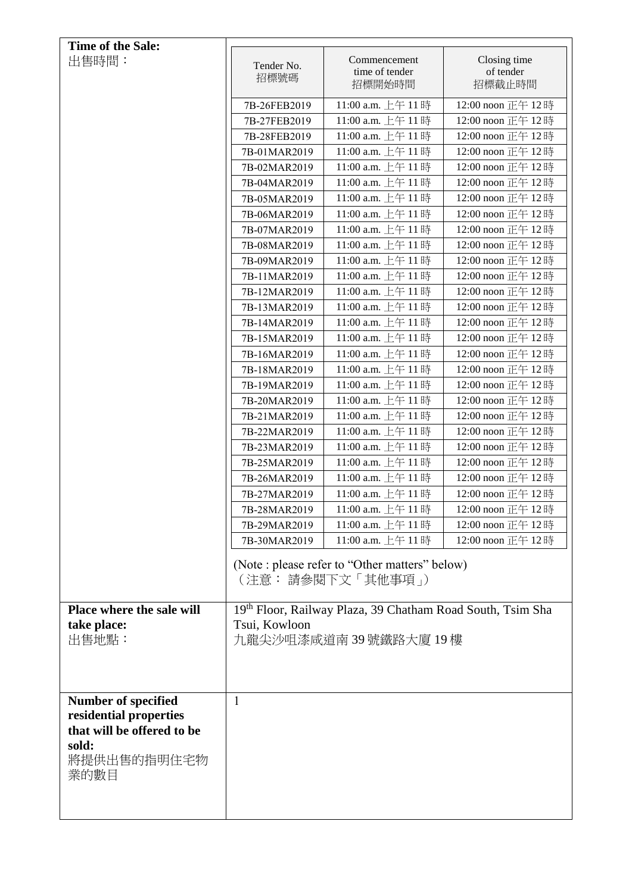| <b>Time of the Sale:</b>                                                                                           |                                                                                                                |                                                                      |                                     |
|--------------------------------------------------------------------------------------------------------------------|----------------------------------------------------------------------------------------------------------------|----------------------------------------------------------------------|-------------------------------------|
| 出售時間:                                                                                                              | Tender No.<br>招標號碼                                                                                             | Commencement<br>time of tender<br>招標開始時間                             | Closing time<br>of tender<br>招標截止時間 |
|                                                                                                                    | 7B-26FEB2019                                                                                                   | 11:00 a.m. 上午11時                                                     | 12:00 noon 正午 12時                   |
|                                                                                                                    | 7B-27FEB2019                                                                                                   | 11:00 a.m. 上午11時                                                     | 12:00 noon 正午 12時                   |
|                                                                                                                    | 7B-28FEB2019                                                                                                   | 11:00 a.m. 上午 11時                                                    | 12:00 noon 正午 12時                   |
|                                                                                                                    | 7B-01MAR2019                                                                                                   | 11:00 a.m. 上午 11時                                                    | 12:00 noon 正午 12時                   |
|                                                                                                                    | 7B-02MAR2019                                                                                                   | 11:00 a.m. 上午 11時                                                    | 12:00 noon 正午 12時                   |
|                                                                                                                    | 7B-04MAR2019                                                                                                   | 11:00 a.m. 上午 11時                                                    | 12:00 noon 正午 12時                   |
|                                                                                                                    | 7B-05MAR2019                                                                                                   | 11:00 a.m. 上午 11時                                                    | 12:00 noon 正午 12時                   |
|                                                                                                                    | 7B-06MAR2019                                                                                                   | 11:00 a.m. 上午 11時                                                    | 12:00 noon 正午 12時                   |
|                                                                                                                    | 7B-07MAR2019                                                                                                   | 11:00 a.m. 上午 11時                                                    | 12:00 noon 正午 12時                   |
|                                                                                                                    | 7B-08MAR2019                                                                                                   | 11:00 a.m. 上午 11時                                                    | 12:00 noon 正午 12時                   |
|                                                                                                                    | 7B-09MAR2019                                                                                                   | 11:00 a.m. 上午11時                                                     | 12:00 noon 正午 12時                   |
|                                                                                                                    | 7B-11MAR2019                                                                                                   | 11:00 a.m. 上午 11時                                                    | 12:00 noon 正午 12時                   |
|                                                                                                                    | 7B-12MAR2019                                                                                                   | 11:00 a.m. 上午 11時                                                    | 12:00 noon 正午 12時                   |
|                                                                                                                    | 7B-13MAR2019                                                                                                   | 11:00 a.m. 上午 11時                                                    | 12:00 noon 正午 12時                   |
|                                                                                                                    | 7B-14MAR2019                                                                                                   | 11:00 a.m. 上午 11時                                                    | 12:00 noon 正午 12時                   |
|                                                                                                                    | 7B-15MAR2019                                                                                                   | 11:00 a.m. 上午 11時                                                    | 12:00 noon 正午 12時                   |
|                                                                                                                    | 7B-16MAR2019                                                                                                   | 11:00 a.m. 上午 11時                                                    | 12:00 noon 正午 12時                   |
|                                                                                                                    | 7B-18MAR2019                                                                                                   | 11:00 a.m. 上午 11時                                                    | 12:00 noon 正午 12時                   |
|                                                                                                                    | 7B-19MAR2019                                                                                                   | 11:00 a.m. 上午 11時                                                    | 12:00 noon 正午 12時                   |
|                                                                                                                    | 7B-20MAR2019                                                                                                   | 11:00 a.m. 上午11時                                                     | 12:00 noon 正午 12時                   |
|                                                                                                                    | 7B-21MAR2019                                                                                                   | 11:00 a.m. 上午 11時                                                    | 12:00 noon 正午 12時                   |
|                                                                                                                    | 7B-22MAR2019                                                                                                   | 11:00 a.m. 上午 11時                                                    | 12:00 noon 正午 12時                   |
|                                                                                                                    | 7B-23MAR2019                                                                                                   | 11:00 a.m. 上午 11時                                                    | 12:00 noon 正午 12時                   |
|                                                                                                                    | 7B-25MAR2019                                                                                                   | 11:00 a.m. 上午 11時                                                    | 12:00 noon 正午 12時                   |
|                                                                                                                    | 7B-26MAR2019                                                                                                   | 11:00 a.m. 上午 11時                                                    | 12:00 noon 正午 12時                   |
|                                                                                                                    | 7B-27MAR2019                                                                                                   | 11:00 a.m. 上午11時                                                     | 12:00 noon 正午 12時                   |
|                                                                                                                    | 7B-28MAR2019                                                                                                   | 11:00 a.m. 上午 11時                                                    | 12:00 noon 正午 12時                   |
|                                                                                                                    | 7B-29MAR2019                                                                                                   | 11:00 a.m. 上午11時                                                     | 12:00 noon 正午 12時                   |
|                                                                                                                    | 7B-30MAR2019                                                                                                   | 11:00 a.m. 上午 11時                                                    | 12:00 noon 正午 12時                   |
|                                                                                                                    |                                                                                                                | (Note : please refer to "Other matters" below)<br>(注意: 請參閱下文 「其他事項」) |                                     |
| Place where the sale will<br>take place:<br>出售地點:                                                                  | 19 <sup>th</sup> Floor, Railway Plaza, 39 Chatham Road South, Tsim Sha<br>Tsui, Kowloon<br>九龍尖沙咀漆咸道南39號鐵路大廈19樓 |                                                                      |                                     |
|                                                                                                                    |                                                                                                                |                                                                      |                                     |
| <b>Number of specified</b><br>residential properties<br>that will be offered to be<br>sold:<br>將提供出售的指明住宅物<br>業的數目 | $\mathbf{1}$                                                                                                   |                                                                      |                                     |
|                                                                                                                    |                                                                                                                |                                                                      |                                     |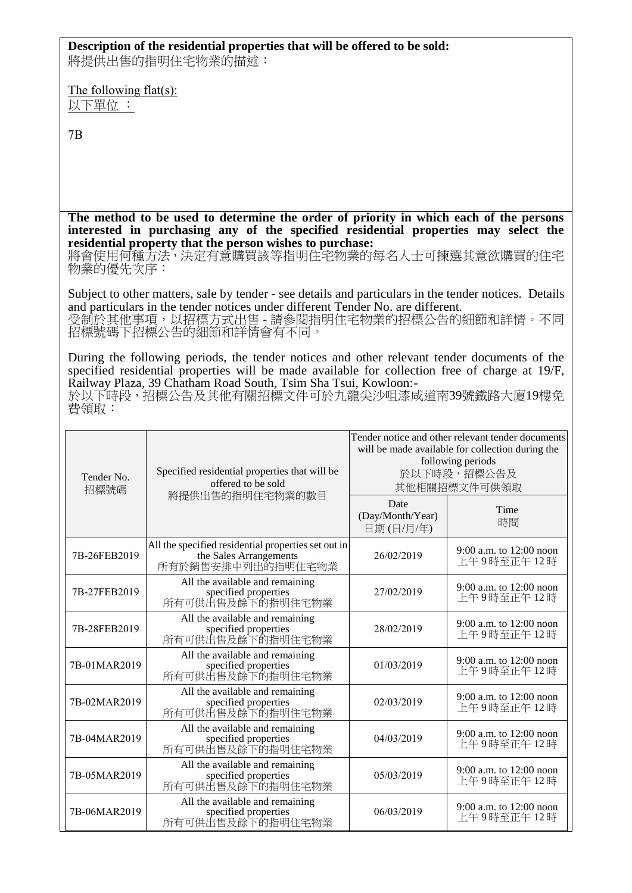## **Description of the residential properties that will be offered to be sold:**

將提供出售的指明住宅物業的描述:

The following flat(s): 以下單位 :

7B

**The method to be used to determine the order of priority in which each of the persons interested in purchasing any of the specified residential properties may select the residential property that the person wishes to purchase:** 

將會使用何種方法,決定有意購買該等指明住宅物業的每名人士可揀選其意欲購買的住宅 物業的優先次序:

Subject to other matters, sale by tender - see details and particulars in the tender notices. Details and particulars in the tender notices under different Tender No. are different. 受制於其他事項,以招標方式出售 - 請參閱指明住宅物業的招標公告的細節和詳情。不同 招標號碼下招標公告的細節和詳情會有不同。

During the following periods, the tender notices and other relevant tender documents of the specified residential properties will be made available for collection free of charge at 19/F, Railway Plaza, 39 Chatham Road South, Tsim Sha Tsui, Kowloon:-

於以下時段,招標公告及其他有關招標文件可於九龍尖沙咀漆咸道南39號鐵路大廈19樓免 費領取:

| Specified residential properties that will be<br>Tender No.<br>offered to be sold<br>招標號碼<br>將提供出售的指明住宅物業的數目 | Tender notice and other relevant tender documents<br>will be made available for collection during the<br>following periods<br>於以下時段,招標公告及<br>其他相關招標文件可供領取 |            |                                         |
|--------------------------------------------------------------------------------------------------------------|-----------------------------------------------------------------------------------------------------------------------------------------------------------|------------|-----------------------------------------|
|                                                                                                              | Date<br>(Day/Month/Year)<br>日期(日/月/年)                                                                                                                     | Time<br>時間 |                                         |
| 7B-26FEB2019                                                                                                 | All the specified residential properties set out in<br>the Sales Arrangements<br>所有於銷售安排中列出的指明住宅物業                                                        | 26/02/2019 | 9:00 a.m. to $12:00$ noon<br>上午9時至正午12時 |
| 7B-27FEB2019                                                                                                 | All the available and remaining<br>specified properties<br>所有可供出售及餘下的指明住宅物業                                                                               | 27/02/2019 | 9:00 a.m. to 12:00 noon<br>上午9時至正午12時   |
| 7B-28FEB2019                                                                                                 | All the available and remaining<br>specified properties<br>所有可供出售及餘下的指明住宅物業                                                                               | 28/02/2019 | 9:00 a.m. to 12:00 noon<br>上午9時至正午12時   |
| 7B-01MAR2019                                                                                                 | All the available and remaining<br>specified properties<br>所有可供出售及餘下的指明住宅物業                                                                               | 01/03/2019 | 9:00 a.m. to 12:00 noon<br>上午9時至正午12時   |
| 7B-02MAR2019                                                                                                 | All the available and remaining<br>specified properties<br>所有可供出售及餘下的指明住宅物業                                                                               | 02/03/2019 | $9:00$ a.m. to 12:00 noon<br>上午9時至正午12時 |
| 7B-04MAR2019                                                                                                 | All the available and remaining<br>specified properties<br>所有可供出售及餘下的指明住宅物業                                                                               | 04/03/2019 | 9:00 a.m. to 12:00 noon<br>上午9時至正午12時   |
| 7B-05MAR2019                                                                                                 | All the available and remaining<br>specified properties<br>所有可供出售及餘下的指明住宅物業                                                                               | 05/03/2019 | 9:00 a.m. to 12:00 noon<br>上午9時至正午12時   |
| 7B-06MAR2019                                                                                                 | All the available and remaining<br>specified properties<br>所有可供出售及餘下的指明住宅物業                                                                               | 06/03/2019 | 9:00 a.m. to 12:00 noon<br>上午9時至正午 12 時 |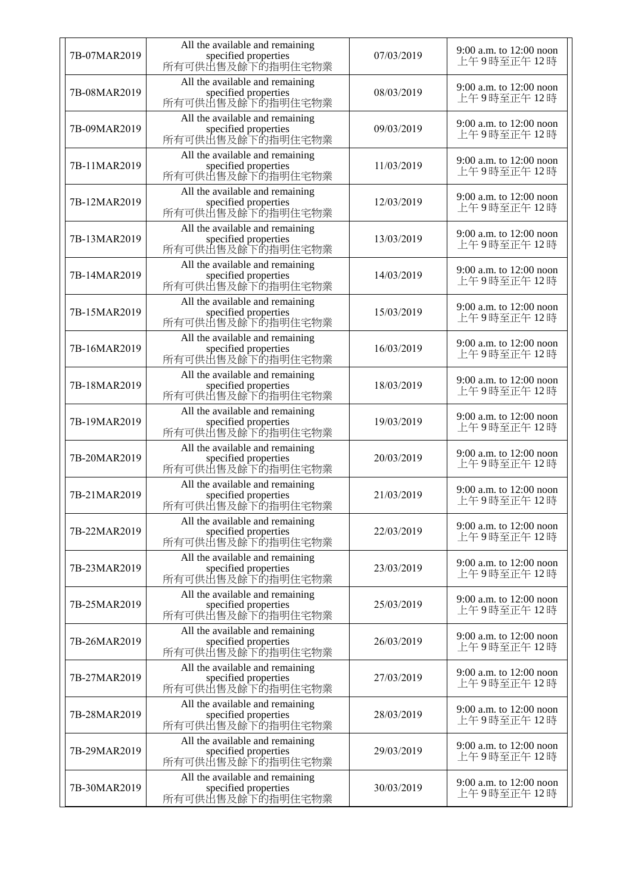| 7B-07MAR2019 | All the available and remaining<br>specified properties<br>所有可供出售及餘下的指明住宅物業 | 07/03/2019 | 9:00 a.m. to $12:00$ noon<br>上午9時至正午12時 |
|--------------|-----------------------------------------------------------------------------|------------|-----------------------------------------|
| 7B-08MAR2019 | All the available and remaining<br>specified properties<br>所有可供出售及餘下的指明住宅物業 | 08/03/2019 | 9:00 a.m. to 12:00 noon<br>上午9時至正午12時   |
| 7B-09MAR2019 | All the available and remaining<br>specified properties<br>所有可供出售及餘下的指明住宅物業 | 09/03/2019 | 9:00 a.m. to 12:00 noon<br>上午9時至正午12時   |
| 7B-11MAR2019 | All the available and remaining<br>specified properties<br>所有可供出售及餘下的指明住宅物業 | 11/03/2019 | 9:00 a.m. to 12:00 noon<br>上午9時至正午12時   |
| 7B-12MAR2019 | All the available and remaining<br>specified properties<br>所有可供出售及餘下的指明住宅物業 | 12/03/2019 | 9:00 a.m. to 12:00 noon<br>上午9時至正午12時   |
| 7B-13MAR2019 | All the available and remaining<br>specified properties<br>所有可供出售及餘下的指明住宅物業 | 13/03/2019 | 9:00 a.m. to 12:00 noon<br>上午9時至正午12時   |
| 7B-14MAR2019 | All the available and remaining<br>specified properties<br>所有可供出售及餘下的指明住宅物業 | 14/03/2019 | 9:00 a.m. to 12:00 noon<br>上午9時至正午12時   |
| 7B-15MAR2019 | All the available and remaining<br>specified properties<br>所有可供出售及餘下的指明住宅物業 | 15/03/2019 | 9:00 a.m. to $12:00$ noon<br>上午9時至正午12時 |
| 7B-16MAR2019 | All the available and remaining<br>specified properties<br>所有可供出售及餘下的指明住宅物業 | 16/03/2019 | 9:00 a.m. to 12:00 noon<br>上午9時至正午12時   |
| 7B-18MAR2019 | All the available and remaining<br>specified properties<br>所有可供出售及餘下的指明住宅物業 | 18/03/2019 | 9:00 a.m. to 12:00 noon<br>上午9時至正午12時   |
| 7B-19MAR2019 | All the available and remaining<br>specified properties<br>所有可供出售及餘下的指明住宅物業 | 19/03/2019 | 9:00 a.m. to 12:00 noon<br>上午9時至正午12時   |
| 7B-20MAR2019 | All the available and remaining<br>specified properties<br>所有可供出售及餘下的指明住宅物業 | 20/03/2019 | 9:00 a.m. to 12:00 noon<br>上午9時至正午12時   |
| 7B-21MAR2019 | All the available and remaining<br>specified properties<br>所有可供出售及餘下的指明住宅物業 | 21/03/2019 | 9:00 a.m. to 12:00 noon<br>上午9時至正午12時   |
| 7B-22MAR2019 | All the available and remaining<br>specified properties<br>所有可供出售及餘下的指明住宅物業 | 22/03/2019 | 9:00 a.m. to 12:00 noon<br>上午9時至正午12時   |
| 7B-23MAR2019 | All the available and remaining<br>specified properties<br>所有可供出售及餘下的指明住宅物業 | 23/03/2019 | 9:00 a.m. to 12:00 noon<br>上午9時至正午12時   |
| 7B-25MAR2019 | All the available and remaining<br>specified properties<br>所有可供出售及餘下的指明住宅物業 | 25/03/2019 | 9:00 a.m. to 12:00 noon<br>上午9時至正午12時   |
| 7B-26MAR2019 | All the available and remaining<br>specified properties<br>所有可供出售及餘下的指明住宅物業 | 26/03/2019 | 9:00 a.m. to 12:00 noon<br>上午9時至正午12時   |
| 7B-27MAR2019 | All the available and remaining<br>specified properties<br>所有可供出售及餘下的指明住宅物業 | 27/03/2019 | 9:00 a.m. to 12:00 noon<br>上午9時至正午12時   |
| 7B-28MAR2019 | All the available and remaining<br>specified properties<br>所有可供出售及餘下的指明住宅物業 | 28/03/2019 | 9:00 a.m. to 12:00 noon<br>上午9時至正午12時   |
| 7B-29MAR2019 | All the available and remaining<br>specified properties<br>所有可供出售及餘下的指明住宅物業 | 29/03/2019 | 9:00 a.m. to $12:00$ noon<br>上午9時至正午12時 |
| 7B-30MAR2019 | All the available and remaining<br>specified properties<br>所有可供出售及餘下的指明住宅物業 | 30/03/2019 | 9:00 a.m. to 12:00 noon<br>上午9時至正午12時   |